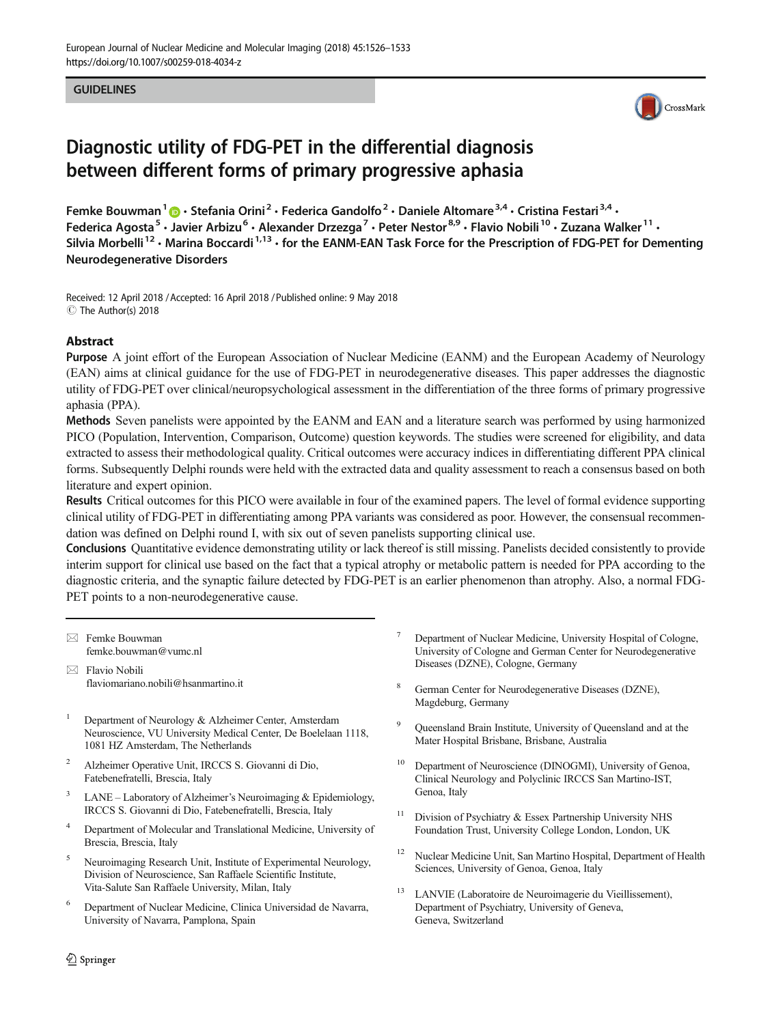**GUIDELINES** 



# Diagnostic utility of FDG-PET in the differential diagnosis between different forms of primary progressive aphasia

Femke Bouwman<sup>1</sup>  $\bullet$  · Stefania Orini<sup>2</sup> · Federica Gandolfo<sup>2</sup> · Daniele Altomare<sup>3,4</sup> · Cristina Festari<sup>3,4</sup> · Federica Agosta<sup>5</sup> · Javier Arbizu<sup>6</sup> · Alexander Drzezga<sup>7</sup> · Peter Nestor<sup>8,9</sup> · Flavio Nobili<sup>10</sup> · Zuzana Walker<sup>11</sup> · Silvia Morbelli<sup>12</sup> • Marina Boccardi<sup>1,13</sup> • for the EANM-EAN Task Force for the Prescription of FDG-PET for Dementing Neurodegenerative Disorders

Received: 12 April 2018 /Accepted: 16 April 2018 /Published online: 9 May 2018  $\circledcirc$  The Author(s) 2018

## Abstract

Purpose A joint effort of the European Association of Nuclear Medicine (EANM) and the European Academy of Neurology (EAN) aims at clinical guidance for the use of FDG-PET in neurodegenerative diseases. This paper addresses the diagnostic utility of FDG-PET over clinical/neuropsychological assessment in the differentiation of the three forms of primary progressive aphasia (PPA).

Methods Seven panelists were appointed by the EANM and EAN and a literature search was performed by using harmonized PICO (Population, Intervention, Comparison, Outcome) question keywords. The studies were screened for eligibility, and data extracted to assess their methodological quality. Critical outcomes were accuracy indices in differentiating different PPA clinical forms. Subsequently Delphi rounds were held with the extracted data and quality assessment to reach a consensus based on both literature and expert opinion.

Results Critical outcomes for this PICO were available in four of the examined papers. The level of formal evidence supporting clinical utility of FDG-PET in differentiating among PPA variants was considered as poor. However, the consensual recommendation was defined on Delphi round I, with six out of seven panelists supporting clinical use.

Conclusions Quantitative evidence demonstrating utility or lack thereof is still missing. Panelists decided consistently to provide interim support for clinical use based on the fact that a typical atrophy or metabolic pattern is needed for PPA according to the diagnostic criteria, and the synaptic failure detected by FDG-PET is an earlier phenomenon than atrophy. Also, a normal FDG-PET points to a non-neurodegenerative cause.

 $\boxtimes$  Femke Bouwman [femke.bouwman@vumc.nl](mailto:femke.bouwman@vumc.nl)

 $\boxtimes$  Flavio Nobili [flaviomariano.nobili@hsanmartino.it](mailto:flaviomariano.nobili@hsanmartino.it)

- <sup>1</sup> Department of Neurology & Alzheimer Center, Amsterdam Neuroscience, VU University Medical Center, De Boelelaan 1118, 1081 HZ Amsterdam, The Netherlands
- <sup>2</sup> Alzheimer Operative Unit, IRCCS S. Giovanni di Dio, Fatebenefratelli, Brescia, Italy
- <sup>3</sup> LANE Laboratory of Alzheimer's Neuroimaging  $\&$  Epidemiology, IRCCS S. Giovanni di Dio, Fatebenefratelli, Brescia, Italy
- <sup>4</sup> Department of Molecular and Translational Medicine, University of Brescia, Brescia, Italy
- <sup>5</sup> Neuroimaging Research Unit, Institute of Experimental Neurology, Division of Neuroscience, San Raffaele Scientific Institute, Vita-Salute San Raffaele University, Milan, Italy
- <sup>6</sup> Department of Nuclear Medicine, Clinica Universidad de Navarra, University of Navarra, Pamplona, Spain
- <sup>7</sup> Department of Nuclear Medicine, University Hospital of Cologne, University of Cologne and German Center for Neurodegenerative Diseases (DZNE), Cologne, Germany
- German Center for Neurodegenerative Diseases (DZNE), Magdeburg, Germany
- <sup>9</sup> Queensland Brain Institute, University of Queensland and at the Mater Hospital Brisbane, Brisbane, Australia
- <sup>10</sup> Department of Neuroscience (DINOGMI), University of Genoa, Clinical Neurology and Polyclinic IRCCS San Martino-IST, Genoa, Italy
- <sup>11</sup> Division of Psychiatry & Essex Partnership University NHS Foundation Trust, University College London, London, UK
- <sup>12</sup> Nuclear Medicine Unit, San Martino Hospital, Department of Health Sciences, University of Genoa, Genoa, Italy
- <sup>13</sup> LANVIE (Laboratoire de Neuroimagerie du Vieillissement), Department of Psychiatry, University of Geneva, Geneva, Switzerland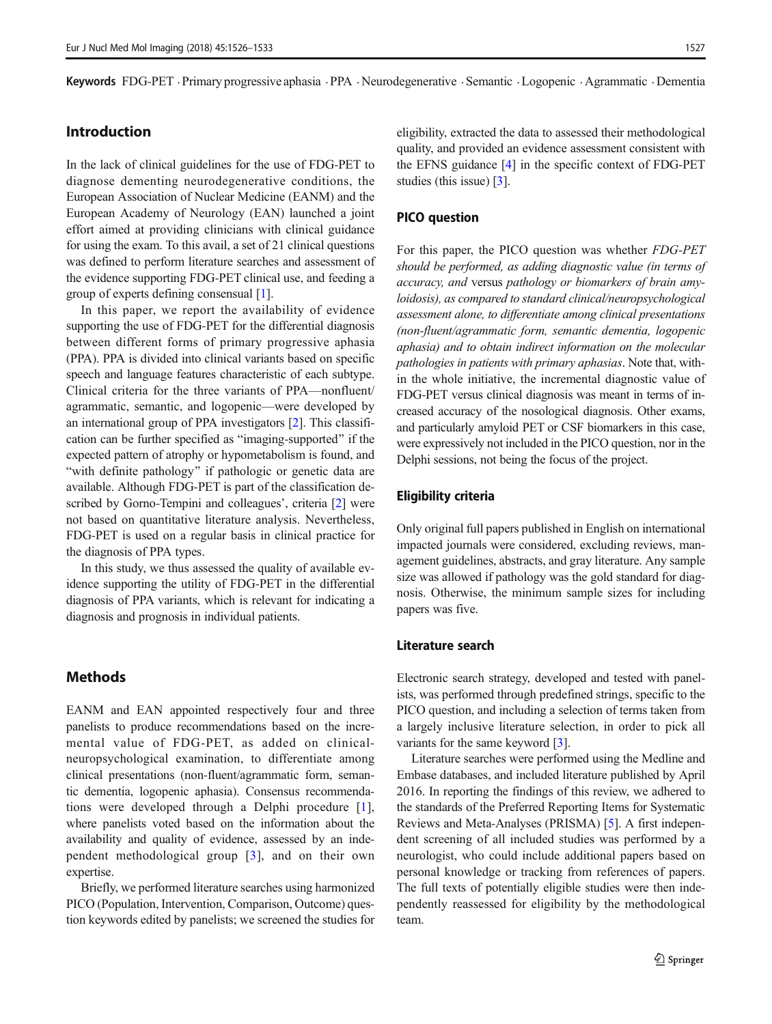Keywords FDG-PET .Primary progressive aphasia .PPA .Neurodegenerative .Semantic .Logopenic .Agrammatic .Dementia

# Introduction

In the lack of clinical guidelines for the use of FDG-PET to diagnose dementing neurodegenerative conditions, the European Association of Nuclear Medicine (EANM) and the European Academy of Neurology (EAN) launched a joint effort aimed at providing clinicians with clinical guidance for using the exam. To this avail, a set of 21 clinical questions was defined to perform literature searches and assessment of the evidence supporting FDG-PET clinical use, and feeding a group of experts defining consensual [[1\]](#page-7-0).

In this paper, we report the availability of evidence supporting the use of FDG-PET for the differential diagnosis between different forms of primary progressive aphasia (PPA). PPA is divided into clinical variants based on specific speech and language features characteristic of each subtype. Clinical criteria for the three variants of PPA—nonfluent/ agrammatic, semantic, and logopenic—were developed by an international group of PPA investigators [[2\]](#page-7-0). This classification can be further specified as "imaging-supported" if the expected pattern of atrophy or hypometabolism is found, and "with definite pathology" if pathologic or genetic data are available. Although FDG-PET is part of the classification described by Gorno-Tempini and colleagues', criteria [\[2\]](#page-7-0) were not based on quantitative literature analysis. Nevertheless, FDG-PET is used on a regular basis in clinical practice for the diagnosis of PPA types.

In this study, we thus assessed the quality of available evidence supporting the utility of FDG-PET in the differential diagnosis of PPA variants, which is relevant for indicating a diagnosis and prognosis in individual patients.

# **Methods**

EANM and EAN appointed respectively four and three panelists to produce recommendations based on the incremental value of FDG-PET, as added on clinicalneuropsychological examination, to differentiate among clinical presentations (non-fluent/agrammatic form, semantic dementia, logopenic aphasia). Consensus recommendations were developed through a Delphi procedure [\[1](#page-7-0)], where panelists voted based on the information about the availability and quality of evidence, assessed by an independent methodological group [[3](#page-7-0)], and on their own expertise.

Briefly, we performed literature searches using harmonized PICO (Population, Intervention, Comparison, Outcome) question keywords edited by panelists; we screened the studies for eligibility, extracted the data to assessed their methodological quality, and provided an evidence assessment consistent with the EFNS guidance [\[4](#page-7-0)] in the specific context of FDG-PET

## PICO question

studies (this issue) [\[3](#page-7-0)].

For this paper, the PICO question was whether FDG-PET should be performed, as adding diagnostic value (in terms of accuracy, and versus pathology or biomarkers of brain amyloidosis), as compared to standard clinical/neuropsychological assessment alone, to differentiate among clinical presentations (non-fluent/agrammatic form, semantic dementia, logopenic aphasia) and to obtain indirect information on the molecular pathologies in patients with primary aphasias. Note that, within the whole initiative, the incremental diagnostic value of FDG-PET versus clinical diagnosis was meant in terms of increased accuracy of the nosological diagnosis. Other exams, and particularly amyloid PET or CSF biomarkers in this case, were expressively not included in the PICO question, nor in the Delphi sessions, not being the focus of the project.

## Eligibility criteria

Only original full papers published in English on international impacted journals were considered, excluding reviews, management guidelines, abstracts, and gray literature. Any sample size was allowed if pathology was the gold standard for diagnosis. Otherwise, the minimum sample sizes for including papers was five.

## Literature search

Electronic search strategy, developed and tested with panelists, was performed through predefined strings, specific to the PICO question, and including a selection of terms taken from a largely inclusive literature selection, in order to pick all variants for the same keyword [[3\]](#page-7-0).

Literature searches were performed using the Medline and Embase databases, and included literature published by April 2016. In reporting the findings of this review, we adhered to the standards of the Preferred Reporting Items for Systematic Reviews and Meta-Analyses (PRISMA) [\[5](#page-7-0)]. A first independent screening of all included studies was performed by a neurologist, who could include additional papers based on personal knowledge or tracking from references of papers. The full texts of potentially eligible studies were then independently reassessed for eligibility by the methodological team.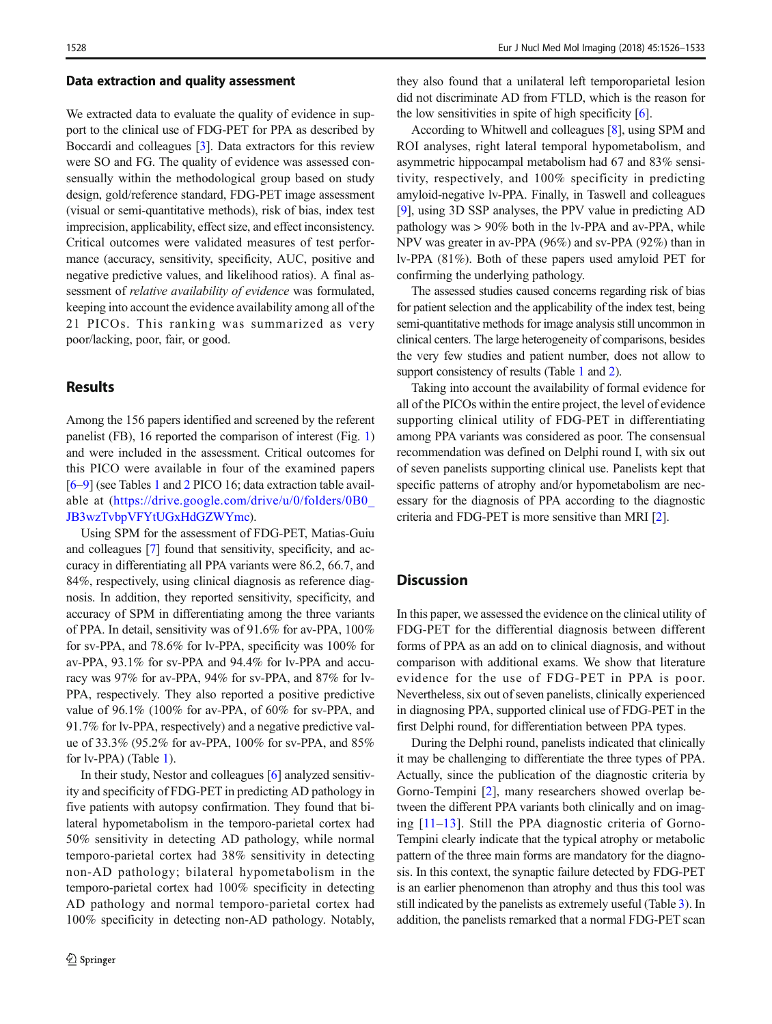#### Data extraction and quality assessment

We extracted data to evaluate the quality of evidence in support to the clinical use of FDG-PET for PPA as described by Boccardi and colleagues [\[3](#page-7-0)]. Data extractors for this review were SO and FG. The quality of evidence was assessed consensually within the methodological group based on study design, gold/reference standard, FDG-PET image assessment (visual or semi-quantitative methods), risk of bias, index test imprecision, applicability, effect size, and effect inconsistency. Critical outcomes were validated measures of test performance (accuracy, sensitivity, specificity, AUC, positive and negative predictive values, and likelihood ratios). A final assessment of relative availability of evidence was formulated, keeping into account the evidence availability among all of the 21 PICOs. This ranking was summarized as very poor/lacking, poor, fair, or good.

## **Results**

Among the 156 papers identified and screened by the referent panelist (FB), 16 reported the comparison of interest (Fig. [1\)](#page-3-0) and were included in the assessment. Critical outcomes for this PICO were available in four of the examined papers [\[6](#page-7-0)–[9\]](#page-7-0) (see Tables [1](#page-4-0) and [2](#page-5-0) PICO 16; data extraction table available at ([https://drive.google.com/drive/u/0/folders/0B0\\_](https://drive.google.com/drive/u/0/folders/0B0_JB3wzTvbpVFYtUGxHdGZWYmc) [JB3wzTvbpVFYtUGxHdGZWYmc\)](https://drive.google.com/drive/u/0/folders/0B0_JB3wzTvbpVFYtUGxHdGZWYmc).

Using SPM for the assessment of FDG-PET, Matias-Guiu and colleagues [[7](#page-7-0)] found that sensitivity, specificity, and accuracy in differentiating all PPA variants were 86.2, 66.7, and 84%, respectively, using clinical diagnosis as reference diagnosis. In addition, they reported sensitivity, specificity, and accuracy of SPM in differentiating among the three variants of PPA. In detail, sensitivity was of 91.6% for av-PPA, 100% for sv-PPA, and 78.6% for lv-PPA, specificity was 100% for av-PPA, 93.1% for sv-PPA and 94.4% for lv-PPA and accuracy was 97% for av-PPA, 94% for sv-PPA, and 87% for lv-PPA, respectively. They also reported a positive predictive value of 96.1% (100% for av-PPA, of 60% for sv-PPA, and 91.7% for lv-PPA, respectively) and a negative predictive value of 33.3% (95.2% for av-PPA, 100% for sv-PPA, and 85% for lv-PPA) (Table [1](#page-4-0)).

In their study, Nestor and colleagues [\[6](#page-7-0)] analyzed sensitivity and specificity of FDG-PET in predicting AD pathology in five patients with autopsy confirmation. They found that bilateral hypometabolism in the temporo-parietal cortex had 50% sensitivity in detecting AD pathology, while normal temporo-parietal cortex had 38% sensitivity in detecting non-AD pathology; bilateral hypometabolism in the temporo-parietal cortex had 100% specificity in detecting AD pathology and normal temporo-parietal cortex had 100% specificity in detecting non-AD pathology. Notably,

they also found that a unilateral left temporoparietal lesion did not discriminate AD from FTLD, which is the reason for the low sensitivities in spite of high specificity  $[6]$ .

According to Whitwell and colleagues [[8\]](#page-7-0), using SPM and ROI analyses, right lateral temporal hypometabolism, and asymmetric hippocampal metabolism had 67 and 83% sensitivity, respectively, and 100% specificity in predicting amyloid-negative lv-PPA. Finally, in Taswell and colleagues [\[9](#page-7-0)], using 3D SSP analyses, the PPV value in predicting AD pathology was > 90% both in the lv-PPA and av-PPA, while NPV was greater in av-PPA (96%) and sv-PPA (92%) than in lv-PPA (81%). Both of these papers used amyloid PET for confirming the underlying pathology.

The assessed studies caused concerns regarding risk of bias for patient selection and the applicability of the index test, being semi-quantitative methods for image analysis still uncommon in clinical centers. The large heterogeneity of comparisons, besides the very few studies and patient number, does not allow to support consistency of results (Table [1](#page-4-0) and [2\)](#page-5-0).

Taking into account the availability of formal evidence for all of the PICOs within the entire project, the level of evidence supporting clinical utility of FDG-PET in differentiating among PPA variants was considered as poor. The consensual recommendation was defined on Delphi round I, with six out of seven panelists supporting clinical use. Panelists kept that specific patterns of atrophy and/or hypometabolism are necessary for the diagnosis of PPA according to the diagnostic criteria and FDG-PET is more sensitive than MRI [\[2](#page-7-0)].

## **Discussion**

In this paper, we assessed the evidence on the clinical utility of FDG-PET for the differential diagnosis between different forms of PPA as an add on to clinical diagnosis, and without comparison with additional exams. We show that literature evidence for the use of FDG-PET in PPA is poor. Nevertheless, six out of seven panelists, clinically experienced in diagnosing PPA, supported clinical use of FDG-PET in the first Delphi round, for differentiation between PPA types.

During the Delphi round, panelists indicated that clinically it may be challenging to differentiate the three types of PPA. Actually, since the publication of the diagnostic criteria by Gorno-Tempini [[2\]](#page-7-0), many researchers showed overlap between the different PPA variants both clinically and on imaging [[11](#page-7-0)–[13](#page-7-0)]. Still the PPA diagnostic criteria of Gorno-Tempini clearly indicate that the typical atrophy or metabolic pattern of the three main forms are mandatory for the diagnosis. In this context, the synaptic failure detected by FDG-PET is an earlier phenomenon than atrophy and thus this tool was still indicated by the panelists as extremely useful (Table [3\)](#page-6-0). In addition, the panelists remarked that a normal FDG-PET scan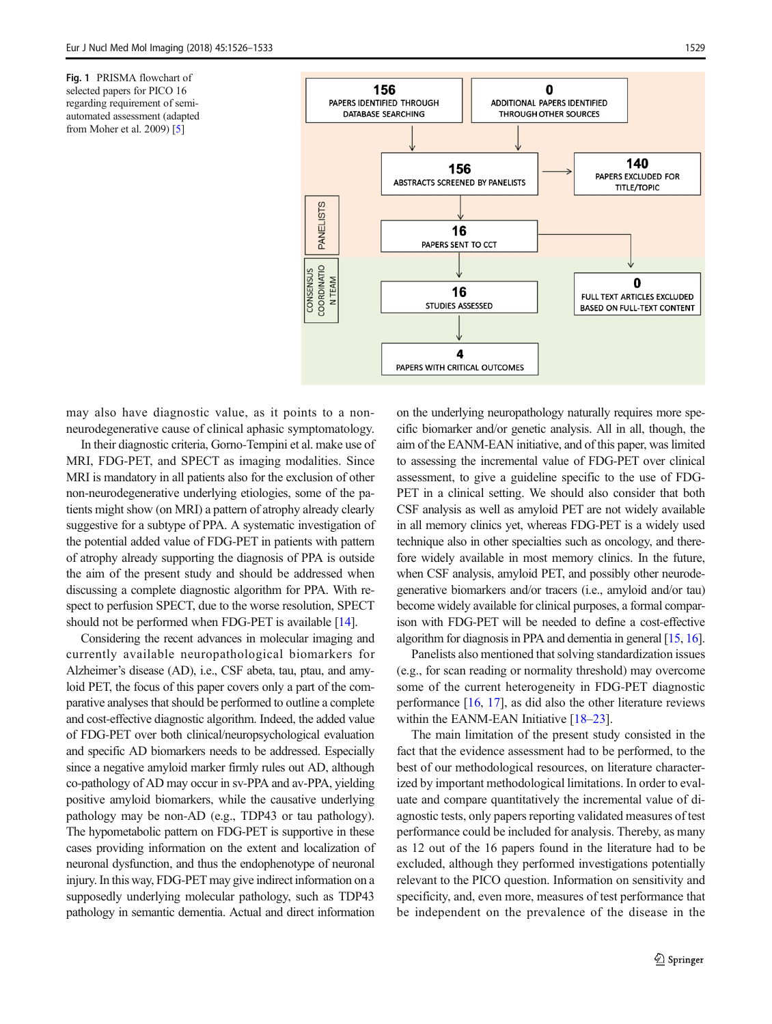<span id="page-3-0"></span>Fig. 1 PRISMA flowchart of selected papers for PICO 16 regarding requirement of semiautomated assessment (adapted from Moher et al. 2009) [[5\]](#page-7-0)



may also have diagnostic value, as it points to a nonneurodegenerative cause of clinical aphasic symptomatology.

In their diagnostic criteria, Gorno-Tempini et al. make use of MRI, FDG-PET, and SPECT as imaging modalities. Since MRI is mandatory in all patients also for the exclusion of other non-neurodegenerative underlying etiologies, some of the patients might show (on MRI) a pattern of atrophy already clearly suggestive for a subtype of PPA. A systematic investigation of the potential added value of FDG-PET in patients with pattern of atrophy already supporting the diagnosis of PPA is outside the aim of the present study and should be addressed when discussing a complete diagnostic algorithm for PPA. With respect to perfusion SPECT, due to the worse resolution, SPECT should not be performed when FDG-PET is available [\[14\]](#page-7-0).

Considering the recent advances in molecular imaging and currently available neuropathological biomarkers for Alzheimer's disease (AD), i.e., CSF abeta, tau, ptau, and amyloid PET, the focus of this paper covers only a part of the comparative analyses that should be performed to outline a complete and cost-effective diagnostic algorithm. Indeed, the added value of FDG-PET over both clinical/neuropsychological evaluation and specific AD biomarkers needs to be addressed. Especially since a negative amyloid marker firmly rules out AD, although co-pathology of AD may occur in sv-PPA and av-PPA, yielding positive amyloid biomarkers, while the causative underlying pathology may be non-AD (e.g., TDP43 or tau pathology). The hypometabolic pattern on FDG-PET is supportive in these cases providing information on the extent and localization of neuronal dysfunction, and thus the endophenotype of neuronal injury. In this way, FDG-PET may give indirect information on a supposedly underlying molecular pathology, such as TDP43 pathology in semantic dementia. Actual and direct information on the underlying neuropathology naturally requires more specific biomarker and/or genetic analysis. All in all, though, the aim of the EANM-EAN initiative, and of this paper, was limited to assessing the incremental value of FDG-PET over clinical assessment, to give a guideline specific to the use of FDG-PET in a clinical setting. We should also consider that both CSF analysis as well as amyloid PET are not widely available in all memory clinics yet, whereas FDG-PET is a widely used technique also in other specialties such as oncology, and therefore widely available in most memory clinics. In the future, when CSF analysis, amyloid PET, and possibly other neurodegenerative biomarkers and/or tracers (i.e., amyloid and/or tau) become widely available for clinical purposes, a formal comparison with FDG-PET will be needed to define a cost-effective algorithm for diagnosis in PPA and dementia in general [[15](#page-7-0), [16\]](#page-7-0).

Panelists also mentioned that solving standardization issues (e.g., for scan reading or normality threshold) may overcome some of the current heterogeneity in FDG-PET diagnostic performance [\[16,](#page-7-0) [17\]](#page-7-0), as did also the other literature reviews within the EANM-EAN Initiative [\[18](#page-7-0)–[23](#page-7-0)].

The main limitation of the present study consisted in the fact that the evidence assessment had to be performed, to the best of our methodological resources, on literature characterized by important methodological limitations. In order to evaluate and compare quantitatively the incremental value of diagnostic tests, only papers reporting validated measures of test performance could be included for analysis. Thereby, as many as 12 out of the 16 papers found in the literature had to be excluded, although they performed investigations potentially relevant to the PICO question. Information on sensitivity and specificity, and, even more, measures of test performance that be independent on the prevalence of the disease in the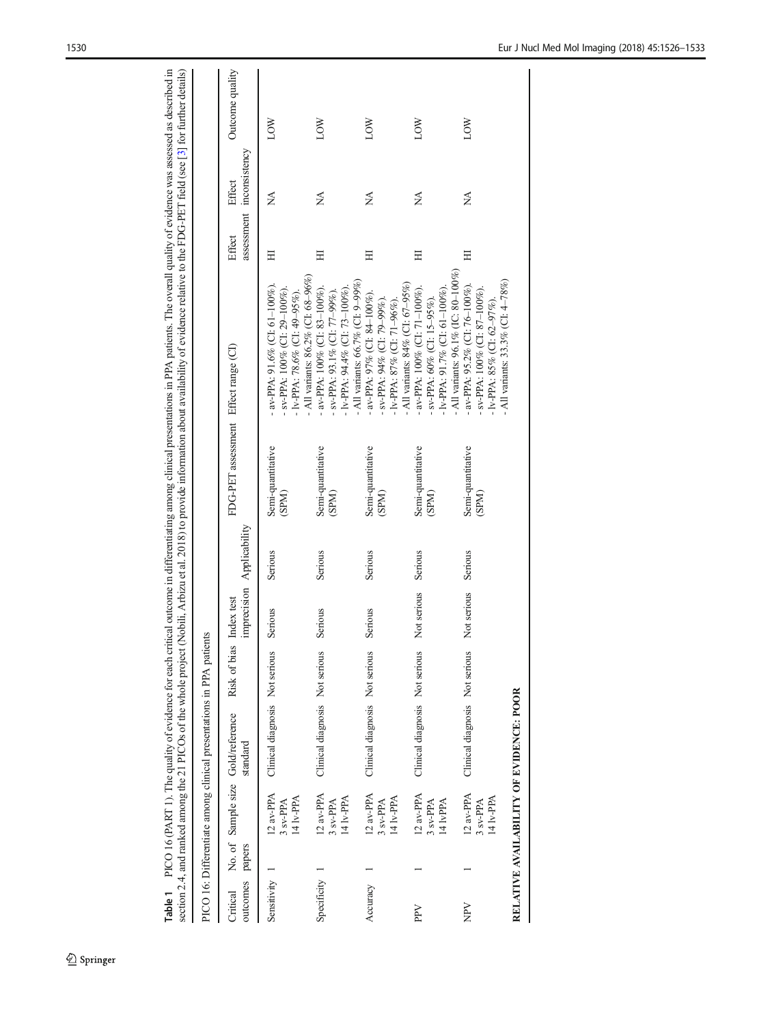<span id="page-4-0"></span>

| Table 1              |        |                                       |                                                                           |              |                                         |         |                                      | PICO 16 (PART 1). The quality of evidence for each critical outcome in differentiating among clinical presentations in PPA patients. The overall quality of evidence was assessed as described in<br>section 2.4, and ranked among the 21 PICOs of the whole project (Nobili, Arbizu et al. 2018) to provide information about availability of evidence relative to the FDG-PET field (see [3] for further details) |        |                                    |                 |
|----------------------|--------|---------------------------------------|---------------------------------------------------------------------------|--------------|-----------------------------------------|---------|--------------------------------------|---------------------------------------------------------------------------------------------------------------------------------------------------------------------------------------------------------------------------------------------------------------------------------------------------------------------------------------------------------------------------------------------------------------------|--------|------------------------------------|-----------------|
|                      |        |                                       | PICO 16: Differentiate among clinical presentations in PPA patients       |              |                                         |         |                                      |                                                                                                                                                                                                                                                                                                                                                                                                                     |        |                                    |                 |
| outcomes<br>Critical | papers |                                       | No. of Sample size Gold/reference<br>standard                             | Risk of bias | imprecision Applicability<br>Index test |         | FDG-PET assessment Effect range (CI) |                                                                                                                                                                                                                                                                                                                                                                                                                     | Effect | assessment inconsistency<br>Effect | Outcome quality |
| Sensitivity          |        | $12$ av-PPA<br>$141v-PPA$<br>3 sv-PPA | Clinical diagnosis Not serious                                            |              | Serious                                 | Serious | Semi-quantitative<br>(SPM)           | - All variants: $86.2\%$ (CI: $68-96\%$ )<br>$-av-PPA$ : 91.6% (CI: 61-100%).<br>- sv-PPA: $100\%$ (CI: 29-100%).<br>$-1v-PPA$ : 78.6% (CI: 49-95%).                                                                                                                                                                                                                                                                | Ξ      | ≸                                  | <b>NOT</b>      |
| Specificity 1        |        | $12 av-PPA$<br>14 Iv-PPA<br>3 sv-PPA  | Clinical diagnosis Not serious                                            |              | Serious                                 | Serious | Semi-quantitative<br>(SPM)           | - All variants: 66.7% (CI: $9-99\%$ )<br>$-1v-PPA$ : 94.4% (CI: 73-100%).<br>av-PPA: 100% (CI: 83-100%).<br>sv-PPA: 93.1% (CI: 77-99%).                                                                                                                                                                                                                                                                             | Ξ      | Ź                                  | <b>NOT</b>      |
| Accuracy             |        | $12 av-PPA$<br>14 Iv-PPA<br>3 sv-PPA  | Clinical diagnosis Not serious                                            |              | Serious                                 | Serious | Semi-quantitative<br>(SPM)           | - All variants: $84\%$ (CI: $67-95\%$ )<br>- av-PPA: 97% (CI: 84-100%).<br>$-$ sv-PPA: 94% (CI: 79-99%).<br>- Iv-PPA: 87% (CI: 71-96%).                                                                                                                                                                                                                                                                             | Ξ      | Á                                  | <b>NOT</b>      |
| Ndd                  |        | 12 av-PPA<br>3 sv-PPA<br>14 IvPPA     | Clinical diagnosis Not serious                                            |              | Not serious                             | Serious | Semi-quantitative<br>(SPM)           | - All variants: $96.1\%$ (IC: $80-100\%$ )<br>- av-PPA: 100% (CI: 71-100%).<br>$-1v-PPA: 91.7%$ (CI: 61-100%).<br>sv-PPA: 60% (CI: 15-95%).                                                                                                                                                                                                                                                                         | Ξ      | Ź                                  | NOZ             |
| NPV                  |        | $12$ av-PPA<br>$141v-PPA$<br>3 sv-PPA | Clinical diagnosis Not serious<br>RELATIVE AVAILABILITY OF EVIDENCE: POOR |              | Not serious                             | Serious | Semi-quantitative<br>(SPM)           | All variants: $33.3\%$ (CI: $4-78\%$ )<br>- av-PPA: 95.2% (CI: 76-100%).<br>- sv-PPA: 100% (CI: 87-100%).<br>- Iv-PPA: $85\%$ (CI: $62-97\%$ )                                                                                                                                                                                                                                                                      | Ξ      | Ź                                  | <b>NOT</b>      |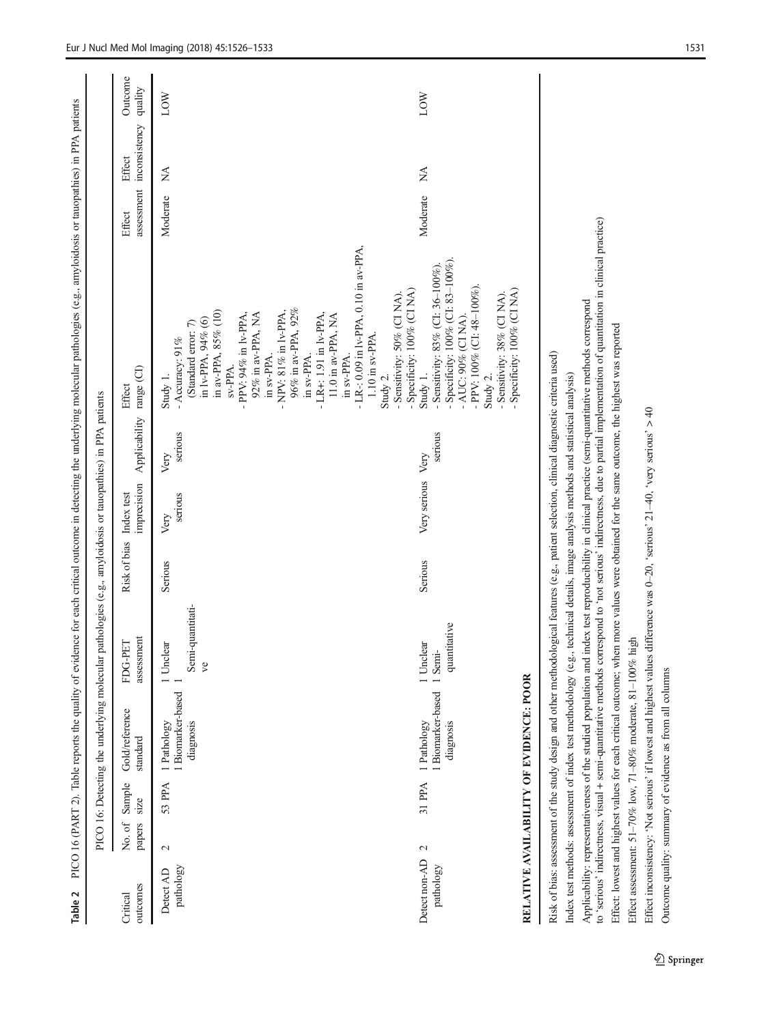<span id="page-5-0"></span>

| Table 2                    |                  |                |                                                                                                                                                                                                                                                                                                                                                                                                                                                                                                                                                                                                                                                                            |                                      |              |                                                                     |                 | PICO 16 (PART 2). Table reports the quality of evidence for each critical outcome in detecting the underlying molecular pathologies (e.g., amyloidosis or tauopathies) in PPA patients                                                                                                                                                                                                                                                                    |                      |                         |                    |
|----------------------------|------------------|----------------|----------------------------------------------------------------------------------------------------------------------------------------------------------------------------------------------------------------------------------------------------------------------------------------------------------------------------------------------------------------------------------------------------------------------------------------------------------------------------------------------------------------------------------------------------------------------------------------------------------------------------------------------------------------------------|--------------------------------------|--------------|---------------------------------------------------------------------|-----------------|-----------------------------------------------------------------------------------------------------------------------------------------------------------------------------------------------------------------------------------------------------------------------------------------------------------------------------------------------------------------------------------------------------------------------------------------------------------|----------------------|-------------------------|--------------------|
|                            |                  |                | PICO 16: Detecting the underlying molecular pathologies (e.g., amyloidosis or tauopathies) in PPA patients                                                                                                                                                                                                                                                                                                                                                                                                                                                                                                                                                                 |                                      |              |                                                                     |                 |                                                                                                                                                                                                                                                                                                                                                                                                                                                           |                      |                         |                    |
| outcomes<br>Critical       | No. of<br>papers | Sample<br>size | Gold/reference<br>standard                                                                                                                                                                                                                                                                                                                                                                                                                                                                                                                                                                                                                                                 | assessment<br>FDG-PET                | Risk of bias | imprecision<br>Index test                                           | Applicability   | range (CI)<br>Effect                                                                                                                                                                                                                                                                                                                                                                                                                                      | assessment<br>Effect | inconsistency<br>Effect | Outcome<br>quality |
| pathology<br>Detect AD     | $\mathbf{\sim}$  | 53 PPA         | 1 Biomarker-based<br>diagnosis<br>1 Pathology                                                                                                                                                                                                                                                                                                                                                                                                                                                                                                                                                                                                                              | Semi-quantitati-<br>Unclear<br>ye    | Serious      | serious<br>Very                                                     | serious<br>Very | - LR-: $0.09$ in lv-PPA, $0.10$ in av-PPA,<br>- Specificity: 100% (CI NA)<br>- Sensitivity: 50% (CI NA)<br>96% in av-PPA, 92%<br>in av-PPA, 85% (10)<br>- NPV: $81\%$ in lv-PPA,<br>92% in av-PPA, NA<br>$-LR+: 1.91$ in $lv-PPA$ ,<br>- PPV: $94\%$ in lv-PPA,<br>11.0 in av-PPA, NA<br>in lv-PPA, 94% (6)<br>(Standard error: 7)<br>$1.10$ in sv-PPA<br>- Accuracy: $91\%$<br>in sv-PPA.<br>in sv-PPA.<br>in sv-PPA.<br>sv-PPA.<br>Study 1.<br>Study 2. | Moderate             | ΧÁ                      | LOW                |
| Detect non-AD<br>pathology | $\mathcal{L}$    | 31 PPA         | 1 Biomarker-based<br>1 Pathology<br>diagnosis                                                                                                                                                                                                                                                                                                                                                                                                                                                                                                                                                                                                                              | quantitative<br>1 Unclear<br>1 Semi- | Serious      | Very serious                                                        | serious<br>Very | - Specificity: 100% (CI: 83-100%).<br>- Sensitivity: 83% (CI: 36-100%).<br>- PPV: $100\%$ (CI: $48-100\%$ ).<br>Specificity: 100% (CI NA)<br>- Sensitivity: 38% (CI NA).<br>- AUC: 90% (CI NA).<br>Study 1.<br>Study 2.                                                                                                                                                                                                                                   | Moderate             | $\lessapprox$           | LOW                |
|                            |                  |                | Effect: lowest and highest values for each critical outcome; when more values were obtained for the same outcome, the highest was reported<br>Risk of bias: assessment of the study design and other methodological features (e.g., patient selection, clinical diagnostic criteria used)<br>Effect inconsistency: 'Not serious' if lowest and highest values difference was 0-20, 'serious' 21-40, 'very serious' > 40<br>Effect assessment: $51-70\%$ low, $71-80\%$ moderate, $81-100\%$ high<br>Index test methods: assessment of index test methodology (e.g.,<br>Outcome quality: summary of evidence as from all columns<br>RELATIVE AVAILABILITY OF EVIDENCE: POOR |                                      |              | technical details, image analysis methods and statistical analysis) |                 | to 'serious' indirectness, visual + semi-quantitative methods correspond to 'not serious' indirectness, due to partial implementation of quantitation in clinical practice)<br>Applicability: representativeness of the studied population and index test reproducibility in clinical practice (semi-quantitative methods correspond                                                                                                                      |                      |                         |                    |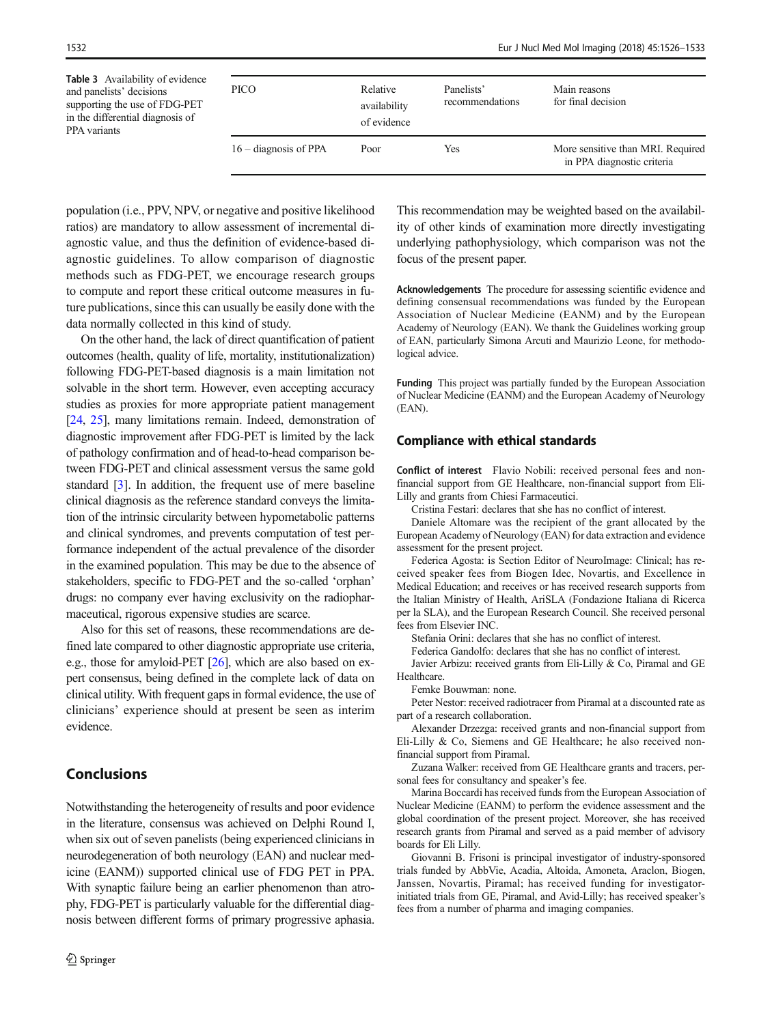Table 3 Availability of evidence and panelists' decisions supporting the use of FDG-PET in the differential diagnosis of PPA variants

<span id="page-6-0"></span>

| 1532 | Eur J Nucl Med Mol Imaging (2018) 45:1526-1533 |
|------|------------------------------------------------|
|------|------------------------------------------------|

| PICO                           | Relative<br>availability<br>of evidence | Panelists'<br>recommendations | Main reasons<br>for final decision                              |
|--------------------------------|-----------------------------------------|-------------------------------|-----------------------------------------------------------------|
| $16 - \text{diagnosis of PPA}$ | Poor                                    | Yes                           | More sensitive than MRI. Required<br>in PPA diagnostic criteria |

population (i.e., PPV, NPV, or negative and positive likelihood ratios) are mandatory to allow assessment of incremental diagnostic value, and thus the definition of evidence-based diagnostic guidelines. To allow comparison of diagnostic methods such as FDG-PET, we encourage research groups to compute and report these critical outcome measures in future publications, since this can usually be easily done with the data normally collected in this kind of study.

On the other hand, the lack of direct quantification of patient outcomes (health, quality of life, mortality, institutionalization) following FDG-PET-based diagnosis is a main limitation not solvable in the short term. However, even accepting accuracy studies as proxies for more appropriate patient management [\[24,](#page-7-0) [25\]](#page-7-0), many limitations remain. Indeed, demonstration of diagnostic improvement after FDG-PET is limited by the lack of pathology confirmation and of head-to-head comparison between FDG-PET and clinical assessment versus the same gold standard [[3\]](#page-7-0). In addition, the frequent use of mere baseline clinical diagnosis as the reference standard conveys the limitation of the intrinsic circularity between hypometabolic patterns and clinical syndromes, and prevents computation of test performance independent of the actual prevalence of the disorder in the examined population. This may be due to the absence of stakeholders, specific to FDG-PET and the so-called 'orphan' drugs: no company ever having exclusivity on the radiopharmaceutical, rigorous expensive studies are scarce.

Also for this set of reasons, these recommendations are defined late compared to other diagnostic appropriate use criteria, e.g., those for amyloid-PET [[26](#page-7-0)], which are also based on expert consensus, being defined in the complete lack of data on clinical utility. With frequent gaps in formal evidence, the use of clinicians' experience should at present be seen as interim evidence.

## Conclusions

Notwithstanding the heterogeneity of results and poor evidence in the literature, consensus was achieved on Delphi Round I, when six out of seven panelists (being experienced clinicians in neurodegeneration of both neurology (EAN) and nuclear medicine (EANM)) supported clinical use of FDG PET in PPA. With synaptic failure being an earlier phenomenon than atrophy, FDG-PET is particularly valuable for the differential diagnosis between different forms of primary progressive aphasia.

This recommendation may be weighted based on the availability of other kinds of examination more directly investigating underlying pathophysiology, which comparison was not the focus of the present paper.

Acknowledgements The procedure for assessing scientific evidence and defining consensual recommendations was funded by the European Association of Nuclear Medicine (EANM) and by the European Academy of Neurology (EAN). We thank the Guidelines working group of EAN, particularly Simona Arcuti and Maurizio Leone, for methodological advice.

Funding This project was partially funded by the European Association of Nuclear Medicine (EANM) and the European Academy of Neurology (EAN).

## Compliance with ethical standards

Conflict of interest Flavio Nobili: received personal fees and nonfinancial support from GE Healthcare, non-financial support from Eli-Lilly and grants from Chiesi Farmaceutici.

Cristina Festari: declares that she has no conflict of interest.

Daniele Altomare was the recipient of the grant allocated by the European Academy of Neurology (EAN) for data extraction and evidence assessment for the present project.

Federica Agosta: is Section Editor of NeuroImage: Clinical; has received speaker fees from Biogen Idec, Novartis, and Excellence in Medical Education; and receives or has received research supports from the Italian Ministry of Health, AriSLA (Fondazione Italiana di Ricerca per la SLA), and the European Research Council. She received personal fees from Elsevier INC.

Stefania Orini: declares that she has no conflict of interest.

Federica Gandolfo: declares that she has no conflict of interest.

Javier Arbizu: received grants from Eli-Lilly & Co, Piramal and GE Healthcare.

Femke Bouwman: none.

Peter Nestor: received radiotracer from Piramal at a discounted rate as part of a research collaboration.

Alexander Drzezga: received grants and non-financial support from Eli-Lilly & Co, Siemens and GE Healthcare; he also received nonfinancial support from Piramal.

Zuzana Walker: received from GE Healthcare grants and tracers, personal fees for consultancy and speaker's fee.

Marina Boccardi has received funds from the European Association of Nuclear Medicine (EANM) to perform the evidence assessment and the global coordination of the present project. Moreover, she has received research grants from Piramal and served as a paid member of advisory boards for Eli Lilly.

Giovanni B. Frisoni is principal investigator of industry-sponsored trials funded by AbbVie, Acadia, Altoida, Amoneta, Araclon, Biogen, Janssen, Novartis, Piramal; has received funding for investigatorinitiated trials from GE, Piramal, and Avid-Lilly; has received speaker's fees from a number of pharma and imaging companies.